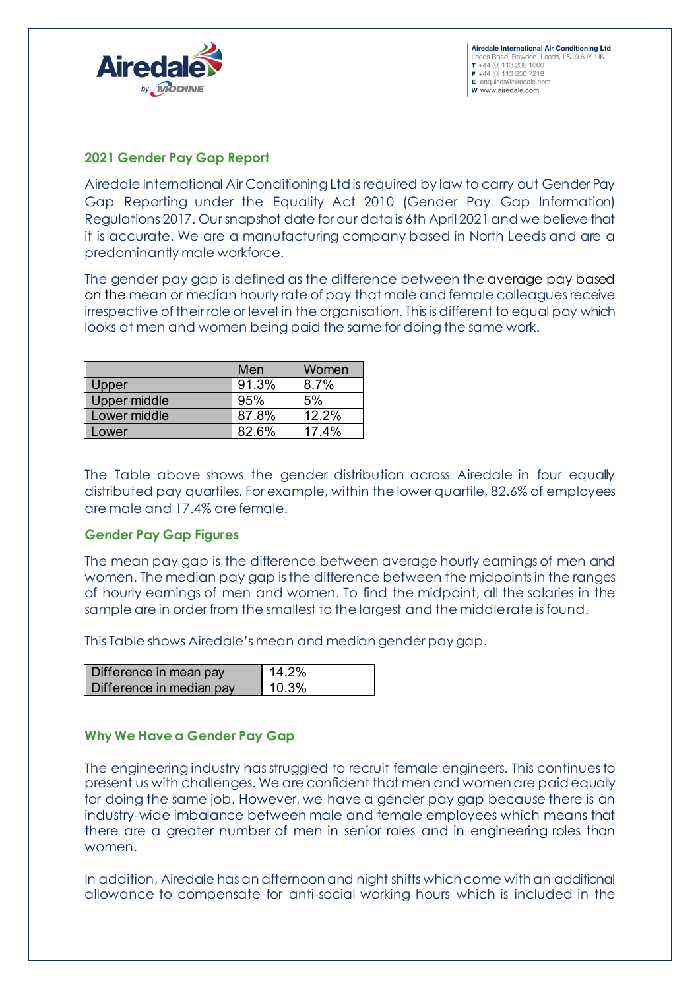



### **2021 Gender Pay Gap Report**

Airedale International Air Conditioning Ltd is required by law to carry out Gender Pay Gap Reporting under the Equality Act 2010 (Gender Pay Gap Information) Regulations 2017. Our snapshot date for our data is 6th April 2021and we believe that it is accurate. We are a manufacturing company based in North Leeds and are a predominantly male workforce.

The gender pay gap is defined as the difference between the average pay based on the mean or median hourly rate of pay that male and female colleagues receive irrespective of their role or level in the organisation. This is different to equal pay which looks at men and women being paid the same for doing the same work.

|                     | Men   | Women |
|---------------------|-------|-------|
| Upper               | 91.3% | 8.7%  |
| <b>Upper middle</b> | 95%   | 5%    |
| Lower middle        | 87.8% | 12.2% |
| ower                | 82 6% | 174%  |

The Table above shows the gender distribution across Airedale in four equally distributed pay quartiles. For example, within the lower quartile, 82.6% of employees are male and 17.4% are female.

#### **Gender Pay Gap Figures**

The mean pay gap is the difference between average hourly earnings of men and women. The median pay gap is the difference between the midpoints in the ranges of hourly earnings of men and women. To find the midpoint, all the salaries in the sample are in order from the smallest to the largest and the middle rate is found.

This Table shows Airedale's mean and median gender pay gap.

| Difference in mean pay   | $14.2\%$ |
|--------------------------|----------|
| Difference in median pay | 10 3%    |

# **Why We Have a Gender Pay Gap**

The engineering industry has struggled to recruit female engineers. This continues to present us with challenges. We are confident that men and women are paid equally for doing the same job. However, we have a gender pay gap because there is an industry-wide imbalance between male and female employees which means that there are a greater number of men in senior roles and in engineering roles than women.

In addition, Airedale has an afternoon and night shifts which come with an additional allowance to compensate for anti-social working hours which is included in the